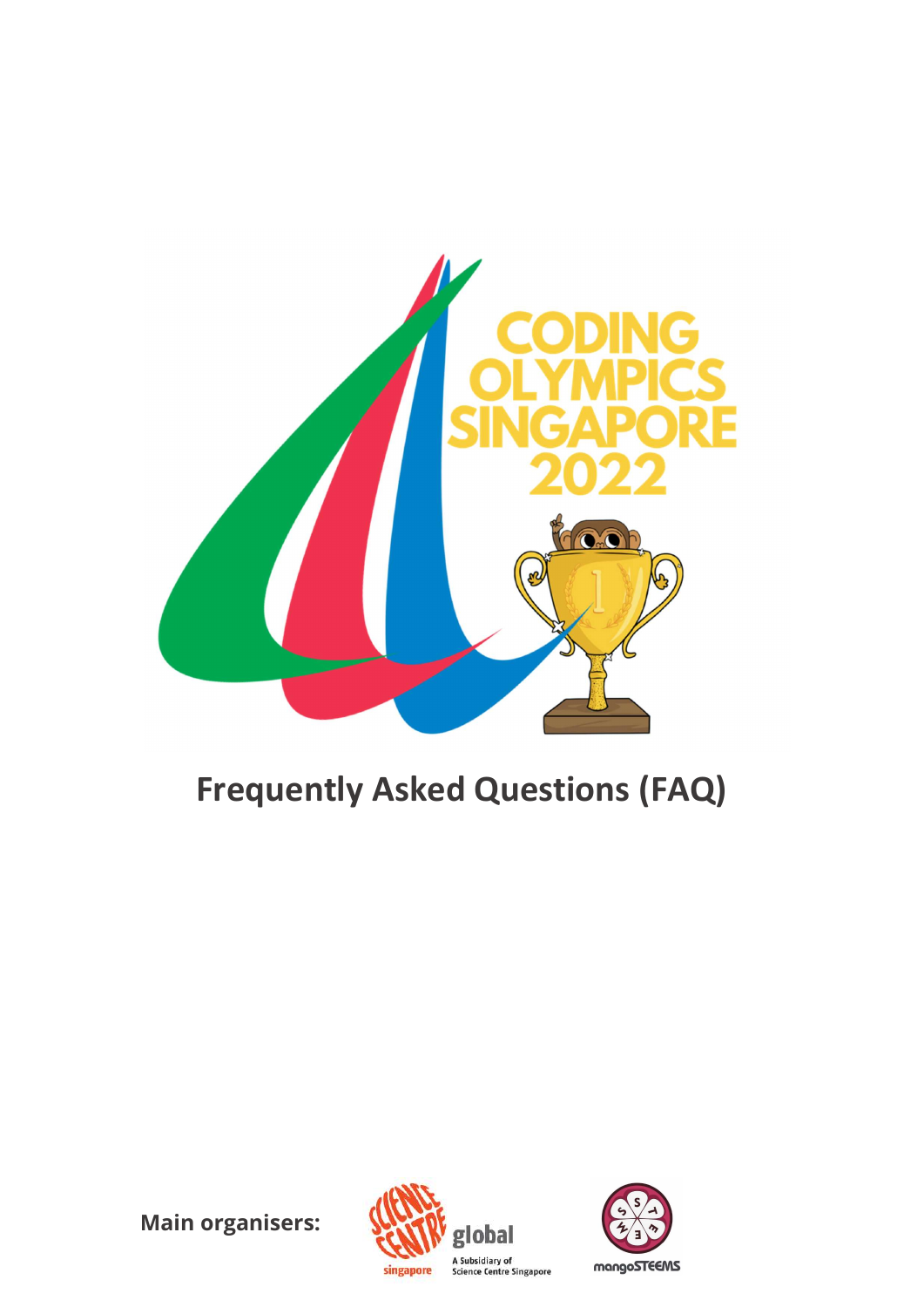

# Frequently Asked Questions (FAQ)

Main organisers:



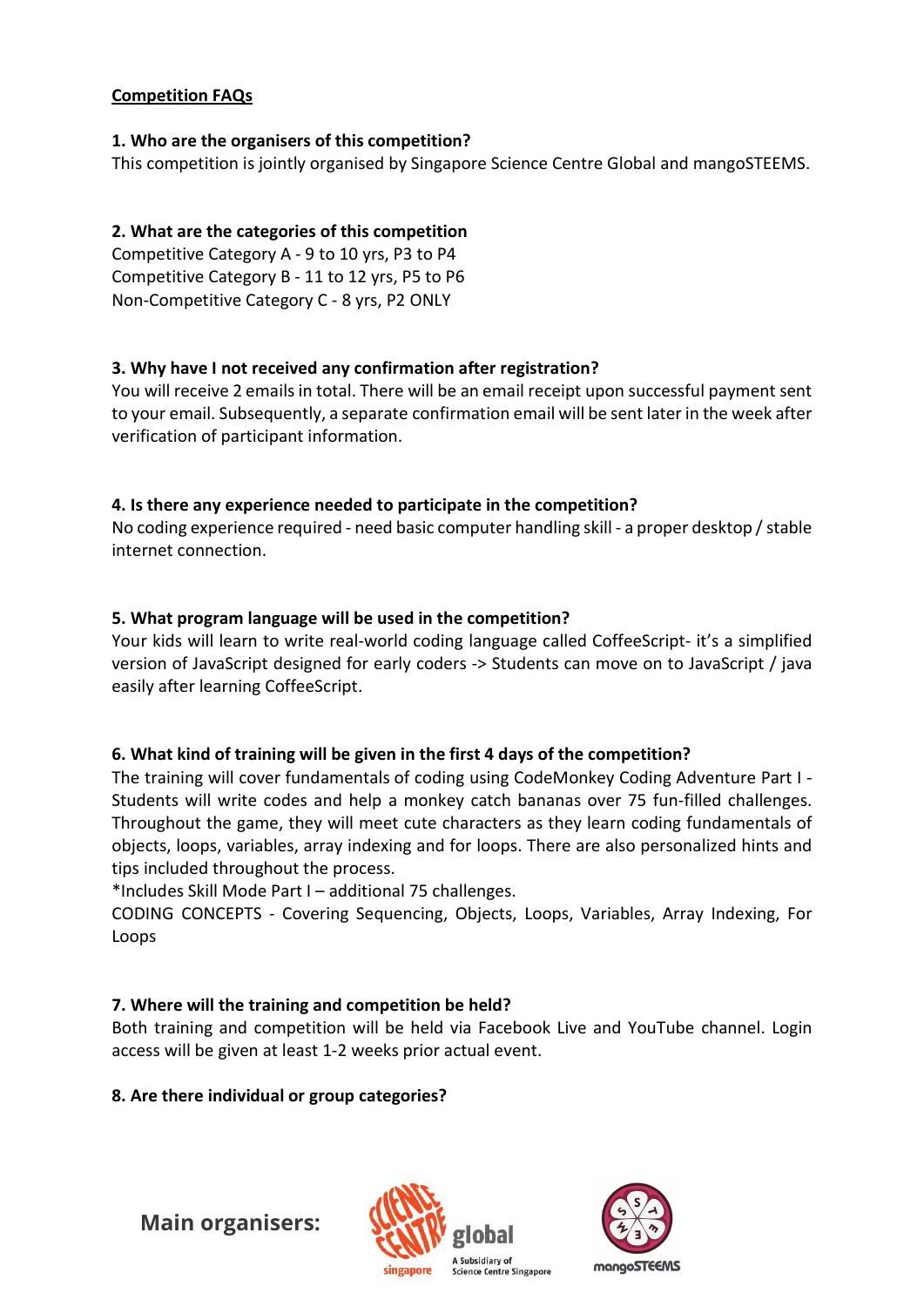#### Competition FAQs

#### 1. Who are the organisers of this competition?

This competition is jointly organised by Singapore Science Centre Global and mangoSTEEMS.

# 2. What are the categories of this competition

Competitive Category A - 9 to 10 yrs, P3 to P4 Competitive Category B - 11 to 12 yrs, P5 to P6 Non-Competitive Category C - 8 yrs, P2 ONLY

#### 3. Why have I not received any confirmation after registration?

You will receive 2 emails in total. There will be an email receipt upon successful payment sent to your email. Subsequently, a separate confirmation email will be sent later in the week after verification of participant information.

#### 4. Is there any experience needed to participate in the competition?

No coding experience required - need basic computer handling skill - a proper desktop / stable internet connection.

#### 5. What program language will be used in the competition?

Your kids will learn to write real-world coding language called CoffeeScript- it's a simplified version of JavaScript designed for early coders -> Students can move on to JavaScript / java easily after learning CoffeeScript.

#### 6. What kind of training will be given in the first 4 days of the competition?

The training will cover fundamentals of coding using CodeMonkey Coding Adventure Part I - Students will write codes and help a monkey catch bananas over 75 fun-filled challenges. Throughout the game, they will meet cute characters as they learn coding fundamentals of objects, loops, variables, array indexing and for loops. There are also personalized hints and tips included throughout the process.

\*Includes Skill Mode Part I – additional 75 challenges.

CODING CONCEPTS - Covering Sequencing, Objects, Loops, Variables, Array Indexing, For Loops

#### 7. Where will the training and competition be held?

Both training and competition will be held via Facebook Live and YouTube channel. Login access will be given at least 1-2 weeks prior actual event.

#### 8. Are there individual or group categories?

Main organisers: